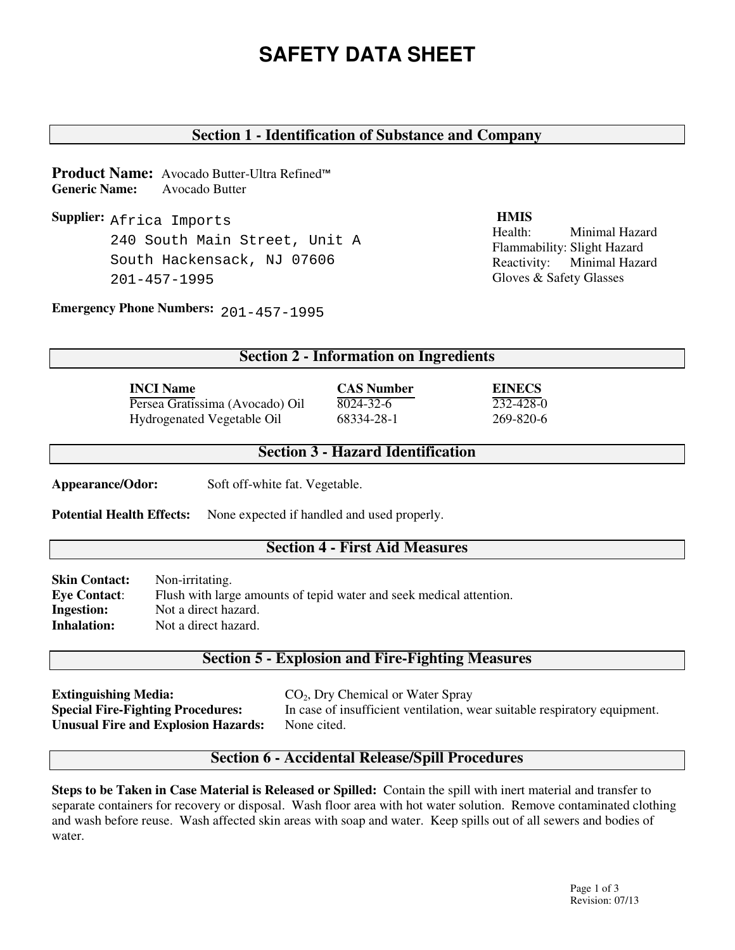# **SAFETY DATA SHEET**

## **Section 1 - Identification of Substance and Company**

**Product Name:** Avocado Butter-Ultra Refined™ **Generic Name:** Avocado Butter

**Supplier:** Africa Imports **HMIS** 240 South Main Street, Unit A South Hackensack, NJ 07606 201-457-1995

Health: Minimal Hazard Flammability: Slight Hazard Reactivity: Minimal Hazard Gloves & Safety Glasses

**Emergency Phone Numbers:**  201-457-1995

#### **Section 2 - Information on Ingredients**

| <b>INCI Name</b>                | <b>CAS Number</b> | <b>EINECS</b> |
|---------------------------------|-------------------|---------------|
| Persea Gratissima (Avocado) Oil | 8024-32-6         | 232-428-0     |
| Hydrogenated Vegetable Oil      | 68334-28-1        | 269-820-6     |

#### **Section 3 - Hazard Identification**

**Appearance/Odor:** Soft off-white fat. Vegetable.

Potential Health Effects: None expected if handled and used properly.

#### **Section 4 - First Aid Measures**

**Skin Contact:** Non-irritating. **Eye Contact**: Flush with large amounts of tepid water and seek medical attention. **Ingestion:** Not a direct hazard. **Inhalation:** Not a direct hazard.

#### **Section 5 - Explosion and Fire-Fighting Measures**

**Extinguishing Media:** CO<sub>2</sub>, Dry Chemical or Water Spray **Unusual Fire and Explosion Hazards:** None cited.

**Special Fire-Fighting Procedures:** In case of insufficient ventilation, wear suitable respiratory equipment.

#### **Section 6 - Accidental Release/Spill Procedures**

**Steps to be Taken in Case Material is Released or Spilled:** Contain the spill with inert material and transfer to separate containers for recovery or disposal. Wash floor area with hot water solution. Remove contaminated clothing and wash before reuse. Wash affected skin areas with soap and water. Keep spills out of all sewers and bodies of water.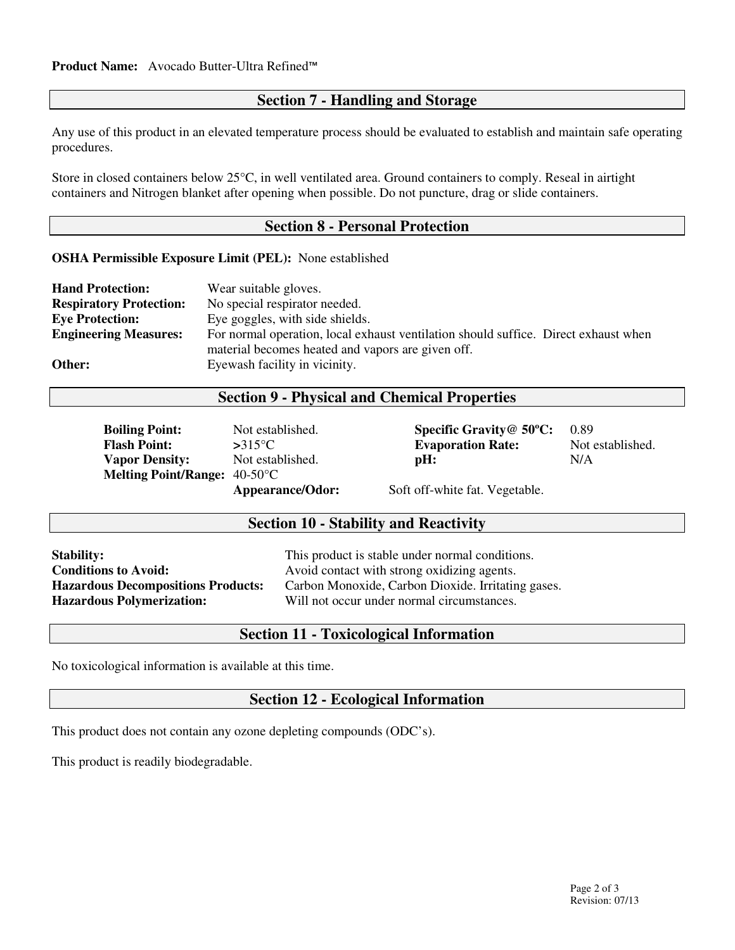## **Section 7 - Handling and Storage**

Any use of this product in an elevated temperature process should be evaluated to establish and maintain safe operating procedures.

Store in closed containers below 25°C, in well ventilated area. Ground containers to comply. Reseal in airtight containers and Nitrogen blanket after opening when possible. Do not puncture, drag or slide containers.

#### **Section 8 - Personal Protection**

**OSHA Permissible Exposure Limit (PEL):** None established

| <b>Hand Protection:</b>        | Wear suitable gloves.                                                               |
|--------------------------------|-------------------------------------------------------------------------------------|
| <b>Respiratory Protection:</b> | No special respirator needed.                                                       |
| <b>Eye Protection:</b>         | Eye goggles, with side shields.                                                     |
| <b>Engineering Measures:</b>   | For normal operation, local exhaust ventilation should suffice. Direct exhaust when |
|                                | material becomes heated and vapors are given off.                                   |
| Other:                         | Eyewash facility in vicinity.                                                       |

#### **Section 9 - Physical and Chemical Properties**

| <b>Boiling Point:</b>                         | Not established.                  | Specific Gravity $@$ 50 $°C$ :                             | 0.89             |
|-----------------------------------------------|-----------------------------------|------------------------------------------------------------|------------------|
| <b>Flash Point:</b>                           | $>315^{\circ}$ C                  | <b>Evaporation Rate:</b>                                   | Not established. |
| <b>Vapor Density:</b>                         | Not established.                  | pH:                                                        | N/A              |
| <b>Melting Point/Range:</b> $40-50^{\circ}$ C |                                   |                                                            |                  |
|                                               | $\lambda$ nnooronoo $\Omega$ dori | $\mathcal{C}_{\alpha}$ off white for $V_{\alpha}$ $\alpha$ |                  |

**Appearance/Odor:** Soft off-white fat. Vegetable.

### **Section 10 - Stability and Reactivity**

| <b>Stability:</b>                         | This product is stable under normal conditions.    |
|-------------------------------------------|----------------------------------------------------|
| <b>Conditions to Avoid:</b>               | Avoid contact with strong oxidizing agents.        |
| <b>Hazardous Decompositions Products:</b> | Carbon Monoxide, Carbon Dioxide. Irritating gases. |
| <b>Hazardous Polymerization:</b>          | Will not occur under normal circumstances.         |

## **Section 11 - Toxicological Information**

No toxicological information is available at this time.

## **Section 12 - Ecological Information**

This product does not contain any ozone depleting compounds (ODC's).

This product is readily biodegradable.